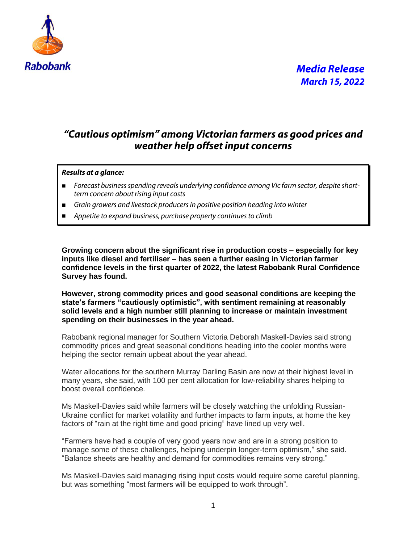

#### *"Cautious optimism" among Victorian farmers as good prices and weather help offset input concerns*

#### *Results at a glance:*

- *Forecast business spending reveals underlying confidence among Vic farm sector, despite shortterm concern about rising input costs*
- *Grain growers and livestock producers in positive position heading into winter*
- Appetite to expand business, purchase property continues to climb

**Growing concern about the significant rise in production costs – especially for key inputs like diesel and fertiliser – has seen a further easing in Victorian farmer confidence levels in the first quarter of 2022, the latest Rabobank Rural Confidence Survey has found.**

**However, strong commodity prices and good seasonal conditions are keeping the state's farmers "cautiously optimistic", with sentiment remaining at reasonably solid levels and a high number still planning to increase or maintain investment spending on their businesses in the year ahead.**

Rabobank regional manager for Southern Victoria Deborah Maskell-Davies said strong commodity prices and great seasonal conditions heading into the cooler months were helping the sector remain upbeat about the year ahead.

Water allocations for the southern Murray Darling Basin are now at their highest level in many years, she said, with 100 per cent allocation for low-reliability shares helping to boost overall confidence.

Ms Maskell-Davies said while farmers will be closely watching the unfolding Russian-Ukraine conflict for market volatility and further impacts to farm inputs, at home the key factors of "rain at the right time and good pricing" have lined up very well.

"Farmers have had a couple of very good years now and are in a strong position to manage some of these challenges, helping underpin longer-term optimism," she said. "Balance sheets are healthy and demand for commodities remains very strong."

Ms Maskell-Davies said managing rising input costs would require some careful planning, but was something "most farmers will be equipped to work through".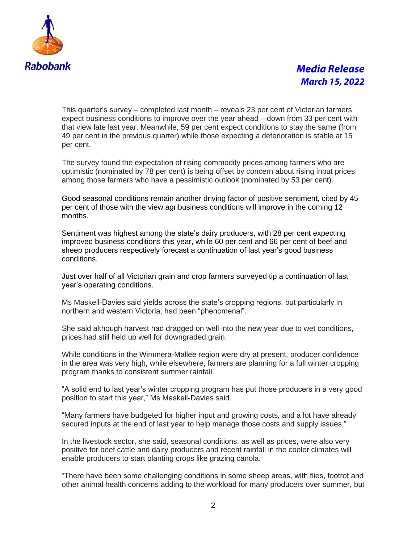

## *Media Release March 15, 2022*

This quarter's survey – completed last month – reveals 23 per cent of Victorian farmers expect business conditions to improve over the year ahead – down from 33 per cent with that view late last year. Meanwhile, 59 per cent expect conditions to stay the same (from 49 per cent in the previous quarter) while those expecting a deterioration is stable at 15 per cent.

The survey found the expectation of rising commodity prices among farmers who are optimistic (nominated by 78 per cent) is being offset by concern about rising input prices among those farmers who have a pessimistic outlook (nominated by 53 per cent).

Good seasonal conditions remain another driving factor of positive sentiment, cited by 45 per cent of those with the view agribusiness conditions will improve in the coming 12 months.

Sentiment was highest among the state's dairy producers, with 28 per cent expecting improved business conditions this year, while 60 per cent and 66 per cent of beef and sheep producers respectively forecast a continuation of last year's good business conditions.

Just over half of all Victorian grain and crop farmers surveyed tip a continuation of last year's operating conditions.

Ms Maskell-Davies said yields across the state's cropping regions, but particularly in northern and western Victoria, had been "phenomenal".

She said although harvest had dragged on well into the new year due to wet conditions, prices had still held up well for downgraded grain.

While conditions in the Wimmera-Mallee region were dry at present, producer confidence in the area was very high, while elsewhere, farmers are planning for a full winter cropping program thanks to consistent summer rainfall.

"A solid end to last year's winter cropping program has put those producers in a very good position to start this year," Ms Maskell-Davies said.

"Many farmers have budgeted for higher input and growing costs, and a lot have already secured inputs at the end of last year to help manage those costs and supply issues."

In the livestock sector, she said, seasonal conditions, as well as prices, were also very positive for beef cattle and dairy producers and recent rainfall in the cooler climates will enable producers to start planting crops like grazing canola.

"There have been some challenging conditions in some sheep areas, with flies, footrot and other animal health concerns adding to the workload for many producers over summer, but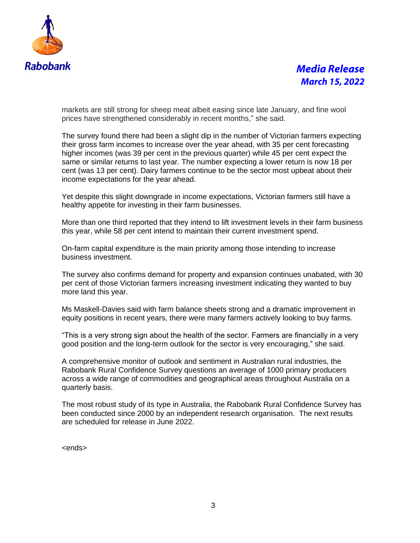

## *Media Release March 15, 2022*

markets are still strong for sheep meat albeit easing since late January, and fine wool prices have strengthened considerably in recent months," she said.

The survey found there had been a slight dip in the number of Victorian farmers expecting their gross farm incomes to increase over the year ahead, with 35 per cent forecasting higher incomes (was 39 per cent in the previous quarter) while 45 per cent expect the same or similar returns to last year. The number expecting a lower return is now 18 per cent (was 13 per cent). Dairy farmers continue to be the sector most upbeat about their income expectations for the year ahead.

Yet despite this slight downgrade in income expectations, Victorian farmers still have a healthy appetite for investing in their farm businesses.

More than one third reported that they intend to lift investment levels in their farm business this year, while 58 per cent intend to maintain their current investment spend.

On-farm capital expenditure is the main priority among those intending to increase business investment.

The survey also confirms demand for property and expansion continues unabated, with 30 per cent of those Victorian farmers increasing investment indicating they wanted to buy more land this year.

Ms Maskell-Davies said with farm balance sheets strong and a dramatic improvement in equity positions in recent years, there were many farmers actively looking to buy farms.

"This is a very strong sign about the health of the sector. Farmers are financially in a very good position and the long-term outlook for the sector is very encouraging," she said.

A comprehensive monitor of outlook and sentiment in Australian rural industries, the Rabobank Rural Confidence Survey questions an average of 1000 primary producers across a wide range of commodities and geographical areas throughout Australia on a quarterly basis.

The most robust study of its type in Australia, the Rabobank Rural Confidence Survey has been conducted since 2000 by an independent research organisation. The next results are scheduled for release in June 2022.

<ends>